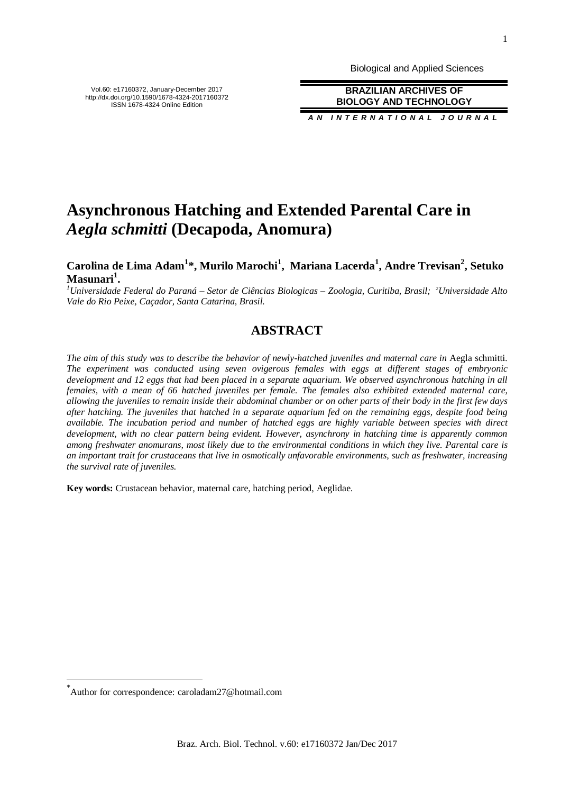Biological and Applied Sciences

**BRAZILIAN ARCHIVES OF BIOLOGY AND TECHNOLOGY**

*A N I N T E R N A T I O N A L J O U R N A L*

# **Asynchronous Hatching and Extended Parental Care in**  *Aegla schmitti* **(Decapoda, Anomura)**

# **Carolina de Lima Adam<sup>1</sup> \*, Murilo Marochi<sup>1</sup> , Mariana Lacerda<sup>1</sup> , Andre Trevisan<sup>2</sup> , Setuko Masunari<sup>1</sup> .**

*<sup>1</sup>Universidade Federal do Paraná – Setor de Ciências Biologicas – Zoologia, Curitiba, Brasil; 2Universidade Alto Vale do Rio Peixe, Caçador, Santa Catarina, Brasil.*

# **ABSTRACT**

*The aim of this study was to describe the behavior of newly-hatched juveniles and maternal care in Aegla schmitti. The experiment was conducted using seven ovigerous females with eggs at different stages of embryonic development and 12 eggs that had been placed in a separate aquarium. We observed asynchronous hatching in all females, with a mean of 66 hatched juveniles per female. The females also exhibited extended maternal care, allowing the juveniles to remain inside their abdominal chamber or on other parts of their body in the first few days after hatching. The juveniles that hatched in a separate aquarium fed on the remaining eggs, despite food being available. The incubation period and number of hatched eggs are highly variable between species with direct development, with no clear pattern being evident. However, asynchrony in hatching time is apparently common among freshwater anomurans, most likely due to the environmental conditions in which they live. Parental care is an important trait for crustaceans that live in osmotically unfavorable environments, such as freshwater, increasing the survival rate of juveniles.* 

**Key words:** Crustacean behavior, maternal care, hatching period, Aeglidae.

\* Author for correspondence: caroladam27@hotmail.com

l

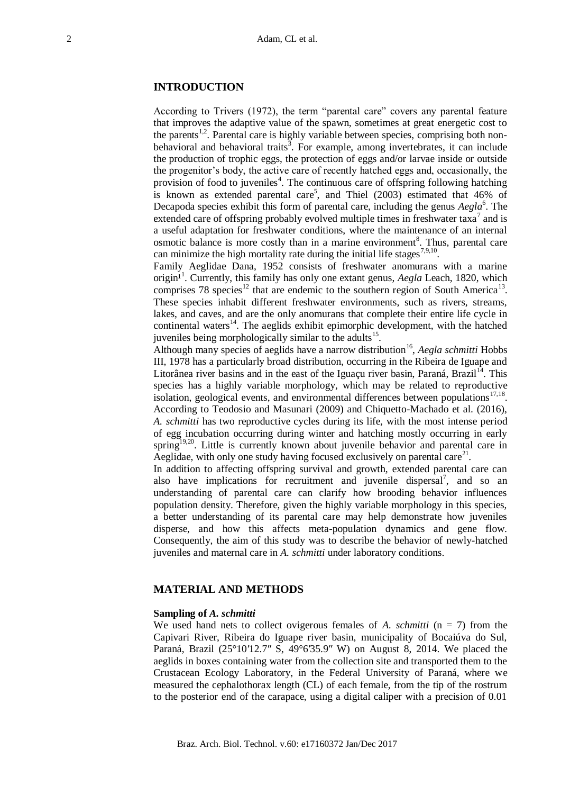## **INTRODUCTION**

According to Trivers (1972), the term "parental care" covers any parental feature that improves the adaptive value of the spawn, sometimes at great energetic cost to the parents<sup>1,2</sup>. Parental care is highly variable between species, comprising both nonbehavioral and behavioral traits<sup>3</sup>. For example, among invertebrates, it can include the production of trophic eggs, the protection of eggs and/or larvae inside or outside the progenitor's body, the active care of recently hatched eggs and, occasionally, the provision of food to juveniles<sup>4</sup>. The continuous care of offspring following hatching is known as extended parental care<sup>5</sup>, and Thiel  $(2003)$  estimated that 46% of Decapoda species exhibit this form of parental care, including the genus *Aegla*<sup>6</sup>. The extended care of offspring probably evolved multiple times in freshwater taxa<sup>7</sup> and is a useful adaptation for freshwater conditions, where the maintenance of an internal osmotic balance is more costly than in a marine environment<sup>8</sup>. Thus, parental care can minimize the high mortality rate during the initial life stages<sup>7,9,10</sup>.

Family Aeglidae Dana, 1952 consists of freshwater anomurans with a marine origin<sup>11</sup>. Currently, this family has only one extant genus, *Aegla* Leach, 1820, which comprises 78 species<sup>12</sup> that are endemic to the southern region of South America<sup>13</sup>. These species inhabit different freshwater environments, such as rivers, streams, lakes, and caves, and are the only anomurans that complete their entire life cycle in continental waters<sup>14</sup>. The aeglids exhibit epimorphic development, with the hatched juveniles being morphologically similar to the adults<sup>15</sup>.

Although many species of aeglids have a narrow distribution<sup>16</sup>, *Aegla schmitti* Hobbs III, 1978 has a particularly broad distribution, occurring in the Ribeira de Iguape and Litorânea river basins and in the east of the Iguaçu river basin, Paraná, Brazil<sup>14</sup>. This species has a highly variable morphology, which may be related to reproductive isolation, geological events, and environmental differences between populations $17,18$ . According to Teodosio and Masunari (2009) and Chiquetto-Machado et al. (2016), *A. schmitti* has two reproductive cycles during its life, with the most intense period of egg incubation occurring during winter and hatching mostly occurring in early spring<sup>19,20</sup>. Little is currently known about juvenile behavior and parental care in Aeglidae, with only one study having focused exclusively on parental care<sup>21</sup>.

In addition to affecting offspring survival and growth, extended parental care can also have implications for recruitment and juvenile dispersal<sup>7</sup>, and so an understanding of parental care can clarify how brooding behavior influences population density. Therefore, given the highly variable morphology in this species, a better understanding of its parental care may help demonstrate how juveniles disperse, and how this affects meta-population dynamics and gene flow. Consequently, the aim of this study was to describe the behavior of newly-hatched juveniles and maternal care in *A. schmitti* under laboratory conditions.

# **MATERIAL AND METHODS**

#### **Sampling of** *A. schmitti*

We used hand nets to collect ovigerous females of *A. schmitti*  $(n = 7)$  from the Capivari River, Ribeira do Iguape river basin, municipality of Bocaiúva do Sul, Paraná, Brazil (25°10′12.7″ S, 49°6′35.9″ W) on August 8, 2014. We placed the aeglids in boxes containing water from the collection site and transported them to the Crustacean Ecology Laboratory, in the Federal University of Paraná, where we measured the cephalothorax length (CL) of each female, from the tip of the rostrum to the posterior end of the carapace, using a digital caliper with a precision of 0.01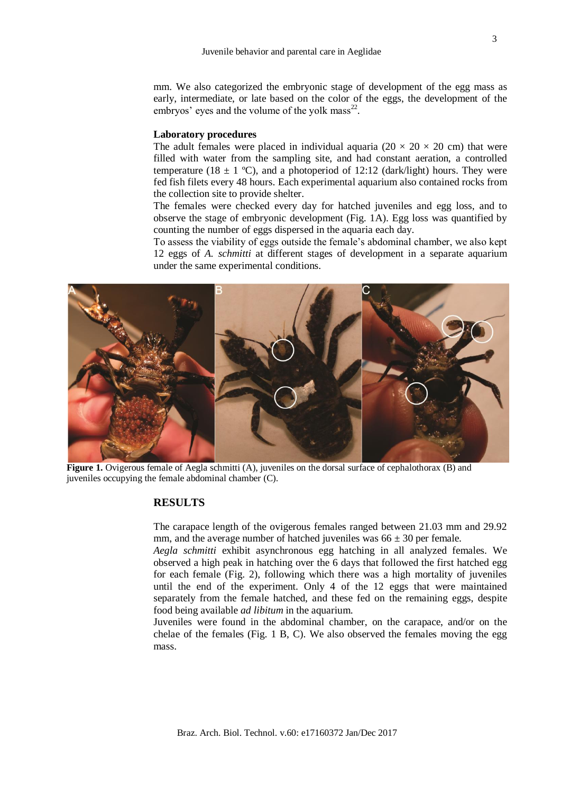mm. We also categorized the embryonic stage of development of the egg mass as early, intermediate, or late based on the color of the eggs, the development of the embryos' eyes and the volume of the yolk mass<sup>22</sup>.

#### **Laboratory procedures**

The adult females were placed in individual aquaria ( $20 \times 20 \times 20$  cm) that were filled with water from the sampling site, and had constant aeration, a controlled temperature (18  $\pm$  1 °C), and a photoperiod of 12:12 (dark/light) hours. They were fed fish filets every 48 hours. Each experimental aquarium also contained rocks from the collection site to provide shelter.

The females were checked every day for hatched juveniles and egg loss, and to observe the stage of embryonic development (Fig. 1A). Egg loss was quantified by counting the number of eggs dispersed in the aquaria each day.

To assess the viability of eggs outside the female's abdominal chamber, we also kept 12 eggs of *A. schmitti* at different stages of development in a separate aquarium under the same experimental conditions.



**Figure 1.** Ovigerous female of Aegla schmitti (A), juveniles on the dorsal surface of cephalothorax (B) and juveniles occupying the female abdominal chamber (C).

### **RESULTS**

The carapace length of the ovigerous females ranged between 21.03 mm and 29.92 mm, and the average number of hatched juveniles was  $66 \pm 30$  per female.

*Aegla schmitti* exhibit asynchronous egg hatching in all analyzed females. We observed a high peak in hatching over the 6 days that followed the first hatched egg for each female (Fig. 2), following which there was a high mortality of juveniles until the end of the experiment. Only 4 of the 12 eggs that were maintained separately from the female hatched, and these fed on the remaining eggs, despite food being available *ad libitum* in the aquarium.

Juveniles were found in the abdominal chamber, on the carapace, and/or on the chelae of the females (Fig. 1 B, C). We also observed the females moving the egg mass.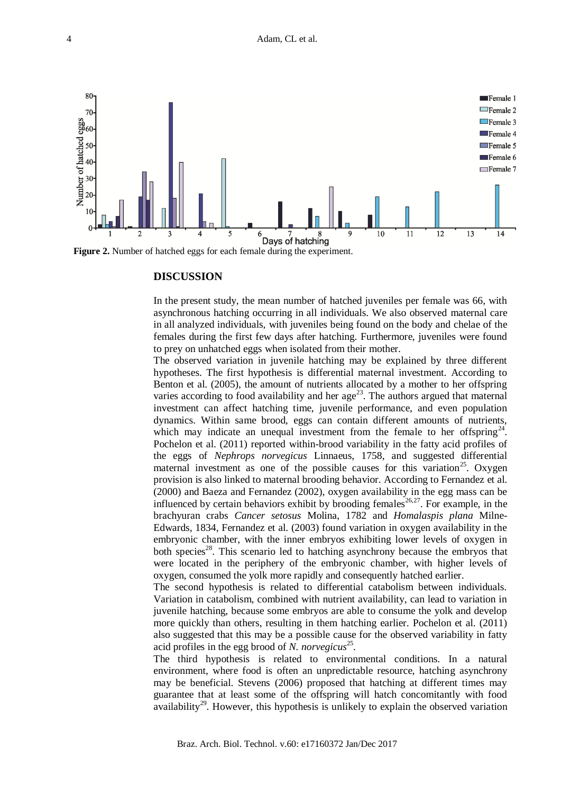

**Figure 2.** Number of hatched eggs for each female during the experiment.

#### **DISCUSSION**

In the present study, the mean number of hatched juveniles per female was 66, with asynchronous hatching occurring in all individuals. We also observed maternal care in all analyzed individuals, with juveniles being found on the body and chelae of the females during the first few days after hatching. Furthermore, juveniles were found to prey on unhatched eggs when isolated from their mother.

The observed variation in juvenile hatching may be explained by three different hypotheses. The first hypothesis is differential maternal investment. According to Benton et al. (2005), the amount of nutrients allocated by a mother to her offspring varies according to food availability and her  $age^{23}$ . The authors argued that maternal investment can affect hatching time, juvenile performance, and even population dynamics. Within same brood, eggs can contain different amounts of nutrients, which may indicate an unequal investment from the female to her offspring<sup>24</sup>. Pochelon et al. (2011) reported within-brood variability in the fatty acid profiles of the eggs of *Nephrops norvegicus* Linnaeus, 1758, and suggested differential maternal investment as one of the possible causes for this variation<sup>25</sup>. Oxygen provision is also linked to maternal brooding behavior. According to Fernandez et al. (2000) and Baeza and Fernandez (2002), oxygen availability in the egg mass can be influenced by certain behaviors exhibit by brooding females<sup>26,27</sup>. For example, in the brachyuran crabs *Cancer setosus* Molina, 1782 and *Homalaspis plana* Milne-Edwards, 1834, Fernandez et al. (2003) found variation in oxygen availability in the embryonic chamber, with the inner embryos exhibiting lower levels of oxygen in both species<sup>28</sup>. This scenario led to hatching asynchrony because the embryos that were located in the periphery of the embryonic chamber, with higher levels of oxygen, consumed the yolk more rapidly and consequently hatched earlier.

The second hypothesis is related to differential catabolism between individuals. Variation in catabolism, combined with nutrient availability, can lead to variation in juvenile hatching, because some embryos are able to consume the yolk and develop more quickly than others, resulting in them hatching earlier. Pochelon et al. (2011) also suggested that this may be a possible cause for the observed variability in fatty acid profiles in the egg brood of *N. norvegicus*<sup>25</sup>.

The third hypothesis is related to environmental conditions. In a natural environment, where food is often an unpredictable resource, hatching asynchrony may be beneficial. Stevens (2006) proposed that hatching at different times may guarantee that at least some of the offspring will hatch concomitantly with food availability<sup>29</sup>. However, this hypothesis is unlikely to explain the observed variation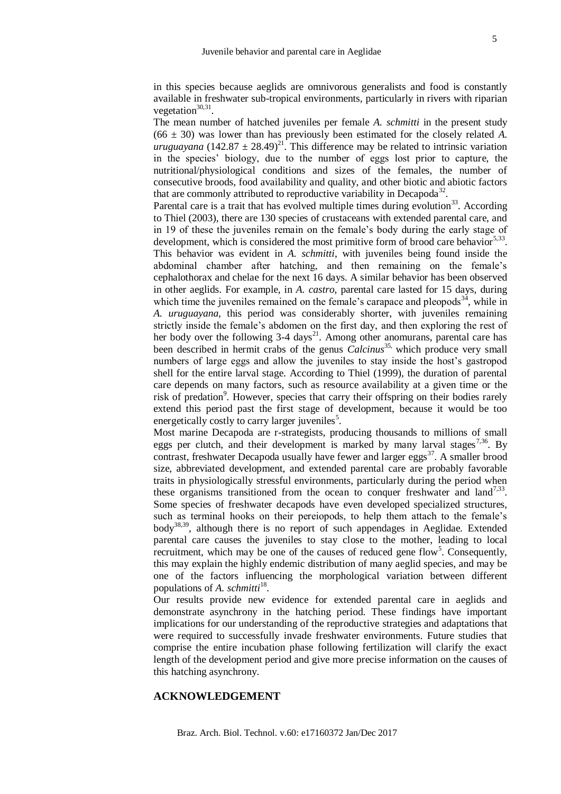in this species because aeglids are omnivorous generalists and food is constantly available in freshwater sub-tropical environments, particularly in rivers with riparian vegetation $30,31$ .

The mean number of hatched juveniles per female *A. schmitti* in the present study  $(66 \pm 30)$  was lower than has previously been estimated for the closely related A. *uruguayana*  $(142.87 \pm 28.49)^{21}$ . This difference may be related to intrinsic variation in the species' biology, due to the number of eggs lost prior to capture, the nutritional/physiological conditions and sizes of the females, the number of consecutive broods, food availability and quality, and other biotic and abiotic factors that are commonly attributed to reproductive variability in Decapoda<sup>32</sup>.

Parental care is a trait that has evolved multiple times during evolution<sup>33</sup>. According to Thiel (2003), there are 130 species of crustaceans with extended parental care, and in 19 of these the juveniles remain on the female's body during the early stage of development, which is considered the most primitive form of brood care behavior $5,33$ . This behavior was evident in *A. schmitti*, with juveniles being found inside the abdominal chamber after hatching, and then remaining on the female's cephalothorax and chelae for the next 16 days. A similar behavior has been observed in other aeglids. For example, in *A. castro,* parental care lasted for 15 days, during which time the juveniles remained on the female's carapace and pleopods<sup>34</sup>, while in *A. uruguayana*, this period was considerably shorter, with juveniles remaining strictly inside the female's abdomen on the first day, and then exploring the rest of her body over the following  $3-4$  days<sup>21</sup>. Among other anomurans, parental care has been described in hermit crabs of the genus *Calcinus*<sup>35,</sup> which produce very small numbers of large eggs and allow the juveniles to stay inside the host's gastropod shell for the entire larval stage. According to Thiel (1999), the duration of parental care depends on many factors, such as resource availability at a given time or the risk of predation<sup>9</sup>. However, species that carry their offspring on their bodies rarely extend this period past the first stage of development, because it would be too energetically costly to carry larger juveniles<sup>5</sup>.

Most marine Decapoda are r-strategists, producing thousands to millions of small eggs per clutch, and their development is marked by many larval stages<sup>7,36</sup>. By contrast, freshwater Decapoda usually have fewer and larger eggs<sup>37</sup>. A smaller brood size, abbreviated development, and extended parental care are probably favorable traits in physiologically stressful environments, particularly during the period when these organisms transitioned from the ocean to conquer freshwater and land<sup>7,33</sup>. Some species of freshwater decapods have even developed specialized structures, such as terminal hooks on their pereiopods, to help them attach to the female's  $body^{38,39}$ , although there is no report of such appendages in Aeglidae. Extended parental care causes the juveniles to stay close to the mother, leading to local recruitment, which may be one of the causes of reduced gene flow<sup>5</sup>. Consequently, this may explain the highly endemic distribution of many aeglid species, and may be one of the factors influencing the morphological variation between different populations of *A. schmitti*<sup>18</sup>.

Our results provide new evidence for extended parental care in aeglids and demonstrate asynchrony in the hatching period. These findings have important implications for our understanding of the reproductive strategies and adaptations that were required to successfully invade freshwater environments. Future studies that comprise the entire incubation phase following fertilization will clarify the exact length of the development period and give more precise information on the causes of this hatching asynchrony.

# **ACKNOWLEDGEMENT**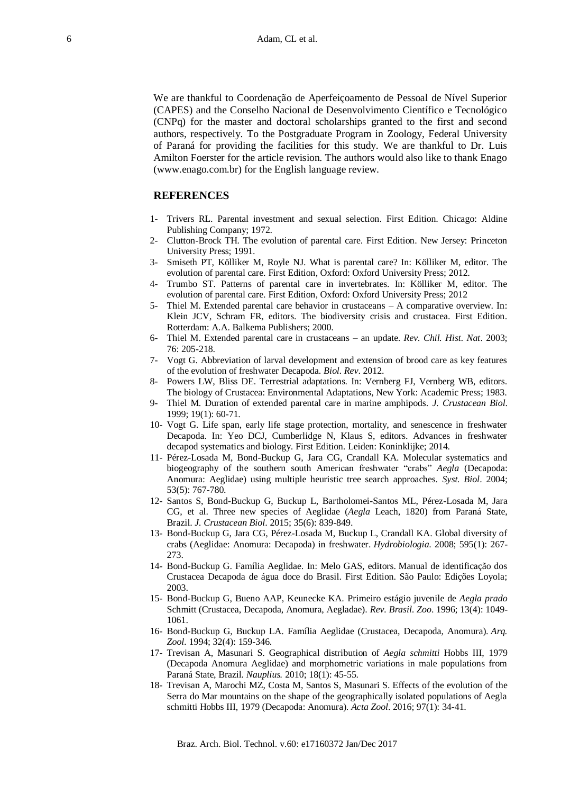We are thankful to Coordenação de Aperfeiçoamento de Pessoal de Nível Superior (CAPES) and the Conselho Nacional de Desenvolvimento Científico e Tecnológico (CNPq) for the master and doctoral scholarships granted to the first and second authors, respectively. To the Postgraduate Program in Zoology, Federal University of Paraná for providing the facilities for this study. We are thankful to Dr. Luis Amilton Foerster for the article revision. The authors would also like to thank Enago (www.enago.com.br) for the English language review.

#### **REFERENCES**

- 1- Trivers RL. Parental investment and sexual selection. First Edition. Chicago: Aldine Publishing Company; 1972.
- 2- Clutton-Brock TH. The evolution of parental care. First Edition. New Jersey: Princeton University Press; 1991.
- 3- Smiseth PT, Kölliker M, Royle NJ. What is parental care? In: Kölliker M, editor. The evolution of parental care. First Edition, Oxford: Oxford University Press; 2012.
- 4- Trumbo ST. Patterns of parental care in invertebrates. In: Kölliker M, editor. The evolution of parental care. First Edition, Oxford: Oxford University Press; 2012
- 5- Thiel M. Extended parental care behavior in crustaceans A comparative overview. In: Klein JCV, Schram FR, editors. The biodiversity crisis and crustacea. First Edition. Rotterdam: A.A. Balkema Publishers; 2000.
- 6- Thiel M. Extended parental care in crustaceans an update. *Rev. Chil. Hist. Nat*. 2003; 76: 205-218.
- 7- Vogt G. Abbreviation of larval development and extension of brood care as key features of the evolution of freshwater Decapoda. *Biol. Rev*. 2012.
- 8- Powers LW, Bliss DE. Terrestrial adaptations. In: Vernberg FJ, Vernberg WB, editors. The biology of Crustacea: Environmental Adaptations, New York: Academic Press; 1983.
- 9- Thiel M. Duration of extended parental care in marine amphipods. *J. Crustacean Biol*. 1999; 19(1): 60-71.
- 10- Vogt G. Life span, early life stage protection, mortality, and senescence in freshwater Decapoda. In: Yeo DCJ, Cumberlidge N, Klaus S, editors. Advances in freshwater decapod systematics and biology. First Edition. Leiden: Koninklijke; 2014.
- 11- Pérez-Losada M, Bond-Buckup G, Jara CG, Crandall KA. Molecular systematics and biogeography of the southern south American freshwater "crabs" *Aegla* (Decapoda: Anomura: Aeglidae) using multiple heuristic tree search approaches. *Syst. Biol*. 2004; 53(5): 767-780.
- 12- Santos S, Bond-Buckup G, Buckup L, Bartholomei-Santos ML, Pérez-Losada M, Jara CG, et al. Three new species of Aeglidae (*Aegla* Leach, 1820) from Paraná State, Brazil. *J. Crustacean Biol*. 2015; 35(6): 839-849.
- 13- Bond-Buckup G, Jara CG, Pérez-Losada M, Buckup L, Crandall KA. Global diversity of crabs (Aeglidae: Anomura: Decapoda) in freshwater. *Hydrobiologia*. 2008; 595(1): 267- 273.
- 14- Bond-Buckup G. Família Aeglidae. In: Melo GAS, editors. Manual de identificação dos Crustacea Decapoda de água doce do Brasil. First Edition. São Paulo: Edições Loyola; 2003.
- 15- Bond-Buckup G, Bueno AAP, Keunecke KA. Primeiro estágio juvenile de *Aegla prado* Schmitt (Crustacea, Decapoda, Anomura, Aegladae). *Rev. Brasil. Zoo*. 1996; 13(4): 1049- 1061.
- 16- Bond-Buckup G, Buckup LA. Família Aeglidae (Crustacea, Decapoda, Anomura). *Arq. Zool.* 1994; 32(4): 159-346.
- 17- Trevisan A, Masunari S. Geographical distribution of *Aegla schmitti* Hobbs III, 1979 (Decapoda Anomura Aeglidae) and morphometric variations in male populations from Paraná State, Brazil. *Nauplius.* 2010; 18(1): 45-55.
- 18- Trevisan A, Marochi MZ, Costa M, Santos S, Masunari S. Effects of the evolution of the Serra do Mar mountains on the shape of the geographically isolated populations of Aegla schmitti Hobbs III, 1979 (Decapoda: Anomura). *Acta Zool*. 2016; 97(1): 34-41.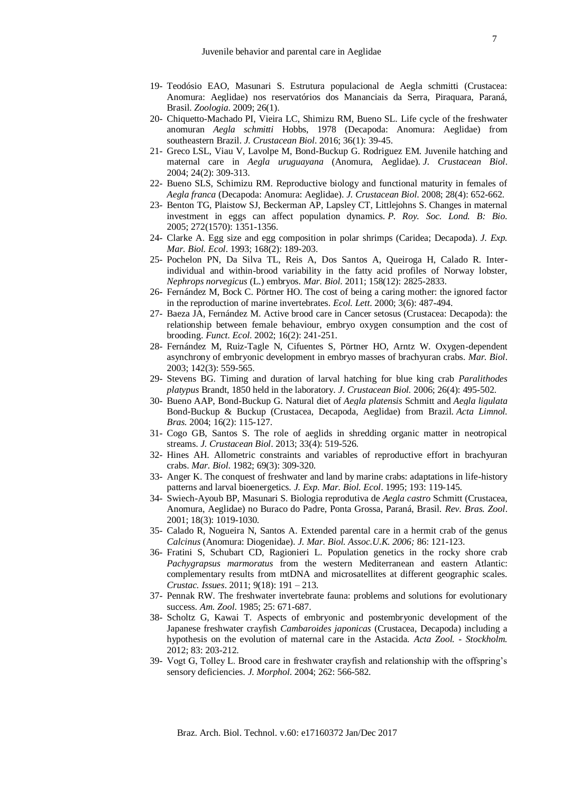- 19- Teodósio EAO, Masunari S. Estrutura populacional de Aegla schmitti (Crustacea: Anomura: Aeglidae) nos reservatórios dos Mananciais da Serra, Piraquara, Paraná, Brasil. *Zoologia*. 2009; 26(1).
- 20- Chiquetto-Machado PI, Vieira LC, Shimizu RM, Bueno SL. Life cycle of the freshwater anomuran *Aegla schmitti* Hobbs, 1978 (Decapoda: Anomura: Aeglidae) from southeastern Brazil. *J. Crustacean Biol*. 2016; 36(1): 39-45.
- 21- Greco LSL, Viau V, Lavolpe M, Bond-Buckup G. Rodriguez EM. Juvenile hatching and maternal care in *Aegla uruguayana* (Anomura, Aeglidae). *J. Crustacean Biol*. 2004; 24(2): 309-313.
- 22- Bueno SLS, Schimizu RM. Reproductive biology and functional maturity in females of *Aegla franca* (Decapoda: Anomura: Aeglidae). *J. Crustacean Biol*. 2008; 28(4): 652-662.
- 23- Benton TG, Plaistow SJ, Beckerman AP, Lapsley CT, Littlejohns S. Changes in maternal investment in eggs can affect population dynamics. *P. Roy. Soc. Lond. B: Bio.*  2005; 272(1570): 1351-1356.
- 24- Clarke A. Egg size and egg composition in polar shrimps (Caridea; Decapoda). *J. Exp. Mar. Biol. Ecol*. 1993; 168(2): 189-203.
- 25- Pochelon PN, Da Silva TL, Reis A, Dos Santos A, Queiroga H, Calado R. Interindividual and within-brood variability in the fatty acid profiles of Norway lobster, *Nephrops norvegicus* (L.) embryos. *Mar. Biol*. 2011; 158(12): 2825-2833.
- 26- Fernández M, Bock C. Pörtner HO. The cost of being a caring mother: the ignored factor in the reproduction of marine invertebrates. *Ecol. Lett*. 2000; 3(6): 487-494.
- 27- Baeza JA, Fernández M. Active brood care in Cancer setosus (Crustacea: Decapoda): the relationship between female behaviour, embryo oxygen consumption and the cost of brooding. *Funct. Ecol*. 2002; 16(2): 241-251.
- 28- Fernández M, Ruiz-Tagle N, Cifuentes S, Pörtner HO, Arntz W. Oxygen-dependent asynchrony of embryonic development in embryo masses of brachyuran crabs. *Mar. Biol*. 2003; 142(3): 559-565.
- 29- Stevens BG. Timing and duration of larval hatching for blue king crab *Paralithodes platypus* Brandt, 1850 held in the laboratory. *J. Crustacean Biol.* 2006; 26(4): 495-502.
- 30- Bueno AAP, Bond-Buckup G. Natural diet of *Aegla platensis* Schmitt and *Aegla ligulata* Bond-Buckup & Buckup (Crustacea, Decapoda, Aeglidae) from Brazil. *Acta Limnol. Bras.* 2004; 16(2): 115-127.
- 31- Cogo GB, Santos S. The role of aeglids in shredding organic matter in neotropical streams. *J. Crustacean Biol*. 2013; 33(4): 519-526.
- 32- Hines AH. Allometric constraints and variables of reproductive effort in brachyuran crabs. *Mar. Biol*. 1982; 69(3): 309-320.
- 33- Anger K. The conquest of freshwater and land by marine crabs: adaptations in life-history patterns and larval bioenergetics. *J. Exp. Mar. Biol. Ecol*. 1995; 193: 119-145.
- 34- Swiech-Ayoub BP, Masunari S. Biologia reprodutiva de *Aegla castro* Schmitt (Crustacea, Anomura, Aeglidae) no Buraco do Padre, Ponta Grossa, Paraná, Brasil. *Rev. Bras. Zool*. 2001; 18(3): 1019-1030.
- 35- Calado R, Nogueira N, Santos A. Extended parental care in a hermit crab of the genus *Calcinus* (Anomura: Diogenidae). *J. Mar. Biol. Assoc.U.K. 2006;* 86: 121-123.
- 36- Fratini S, Schubart CD, Ragionieri L. Population genetics in the rocky shore crab *Pachygrapsus marmoratus* from the western Mediterranean and eastern Atlantic: complementary results from mtDNA and microsatellites at different geographic scales. *Crustac. Issues*. 2011; 9(18): 191 – 213.
- 37- Pennak RW. The freshwater invertebrate fauna: problems and solutions for evolutionary success. *Am. Zool*. 1985; 25: 671-687.
- 38- Scholtz G, Kawai T. Aspects of embryonic and postembryonic development of the Japanese freshwater crayfish *Cambaroides japonicas* (Crustacea, Decapoda) including a hypothesis on the evolution of maternal care in the Astacida. *Acta Zool. - Stockholm.*  2012; 83: 203-212.
- 39- Vogt G, Tolley L. Brood care in freshwater crayfish and relationship with the offspring's sensory deficiencies. *J. Morphol*. 2004; 262: 566-582.